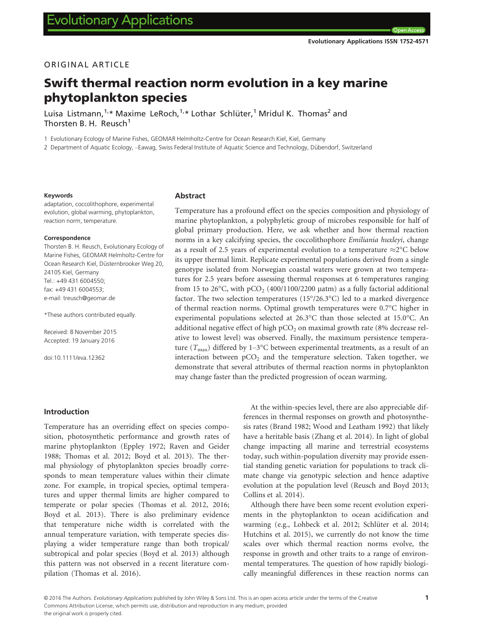# ORIGINAL ARTICLE

# Swift thermal reaction norm evolution in a key marine phytoplankton species

Luisa Listmann,<sup>1,\*</sup> Maxime LeRoch,<sup>1,\*</sup> Lothar Schlüter,<sup>1</sup> Mridul K. Thomas<sup>2</sup> and Thorsten B. H. Reusch $<sup>1</sup>$ </sup>

1 Evolutionary Ecology of Marine Fishes, GEOMAR Helmholtz-Centre for Ocean Research Kiel, Kiel, Germany

2 Department of Aquatic Ecology, –Eawag, Swiss Federal Institute of Aquatic Science and Technology, Dübendorf, Switzerland

#### Keywords

adaptation, coccolithophore, experimental evolution, global warming, phytoplankton, reaction norm, temperature.

#### Correspondence

Thorsten B. H. Reusch, Evolutionary Ecology of Marine Fishes, GEOMAR Helmholtz-Centre for Ocean Research Kiel, Düsternbrooker Weg 20, 24105 Kiel, Germany Tel.: +49 431 6004550; fax: +49 431 6004553; e-mail: treusch@geomar.de

\*These authors contributed equally.

Received: 8 November 2015 Accepted: 19 January 2016

doi:10.1111/eva.12362

#### Abstract

Temperature has a profound effect on the species composition and physiology of marine phytoplankton, a polyphyletic group of microbes responsible for half of global primary production. Here, we ask whether and how thermal reaction norms in a key calcifying species, the coccolithophore *Emiliania huxleyi*, change as a result of 2.5 years of experimental evolution to a temperature  $\approx$ 2°C below its upper thermal limit. Replicate experimental populations derived from a single genotype isolated from Norwegian coastal waters were grown at two temperatures for 2.5 years before assessing thermal responses at 6 temperatures ranging from 15 to 26 $\degree$ C, with pCO<sub>2</sub> (400/1100/2200  $\mu$ atm) as a fully factorial additional factor. The two selection temperatures (15°/26.3°C) led to a marked divergence of thermal reaction norms. Optimal growth temperatures were 0.7°C higher in experimental populations selected at 26.3°C than those selected at 15.0°C. An additional negative effect of high  $pCO<sub>2</sub>$  on maximal growth rate (8% decrease relative to lowest level) was observed. Finally, the maximum persistence temperature  $(T_{\text{max}})$  differed by 1–3°C between experimental treatments, as a result of an interaction between  $pCO<sub>2</sub>$  and the temperature selection. Taken together, we demonstrate that several attributes of thermal reaction norms in phytoplankton may change faster than the predicted progression of ocean warming.

## Introduction

Temperature has an overriding effect on species composition, photosynthetic performance and growth rates of marine phytoplankton (Eppley 1972; Raven and Geider 1988; Thomas et al. 2012; Boyd et al. 2013). The thermal physiology of phytoplankton species broadly corresponds to mean temperature values within their climate zone. For example, in tropical species, optimal temperatures and upper thermal limits are higher compared to temperate or polar species (Thomas et al. 2012, 2016; Boyd et al. 2013). There is also preliminary evidence that temperature niche width is correlated with the annual temperature variation, with temperate species displaying a wider temperature range than both tropical/ subtropical and polar species (Boyd et al. 2013) although this pattern was not observed in a recent literature compilation (Thomas et al. 2016).

At the within-species level, there are also appreciable differences in thermal responses on growth and photosynthesis rates (Brand 1982; Wood and Leatham 1992) that likely have a heritable basis (Zhang et al. 2014). In light of global change impacting all marine and terrestrial ecosystems today, such within-population diversity may provide essential standing genetic variation for populations to track climate change via genotypic selection and hence adaptive evolution at the population level (Reusch and Boyd 2013; Collins et al. 2014).

Although there have been some recent evolution experiments in the phytoplankton to ocean acidification and warming (e.g., Lohbeck et al. 2012; Schlüter et al. 2014; Hutchins et al. 2015), we currently do not know the time scales over which thermal reaction norms evolve, the response in growth and other traits to a range of environmental temperatures. The question of how rapidly biologically meaningful differences in these reaction norms can

© 2016 The Authors. Evolutionary Applications published by John Wiley & Sons Ltd. This is an open access article under the terms of the [Creative](http://creativecommons.org/licenses/by/4.0/) [Commons Attribution](http://creativecommons.org/licenses/by/4.0/) License, which permits use, distribution and reproduction in any medium, provided the original work is properly cited.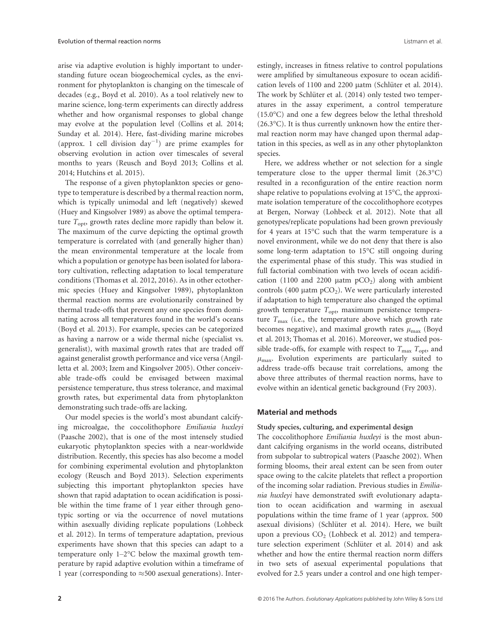arise via adaptive evolution is highly important to understanding future ocean biogeochemical cycles, as the environment for phytoplankton is changing on the timescale of decades (e.g., Boyd et al. 2010). As a tool relatively new to marine science, long-term experiments can directly address whether and how organismal responses to global change may evolve at the population level (Collins et al. 2014; Sunday et al. 2014). Here, fast-dividing marine microbes (approx. 1 cell division  $day^{-1}$ ) are prime examples for observing evolution in action over timescales of several months to years (Reusch and Boyd 2013; Collins et al. 2014; Hutchins et al. 2015).

The response of a given phytoplankton species or genotype to temperature is described by a thermal reaction norm, which is typically unimodal and left (negatively) skewed (Huey and Kingsolver 1989) as above the optimal temperature  $T_{\text{opt}}$ , growth rates decline more rapidly than below it. The maximum of the curve depicting the optimal growth temperature is correlated with (and generally higher than) the mean environmental temperature at the locale from which a population or genotype has been isolated for laboratory cultivation, reflecting adaptation to local temperature conditions (Thomas et al. 2012, 2016). As in other ectothermic species (Huey and Kingsolver 1989), phytoplankton thermal reaction norms are evolutionarily constrained by thermal trade-offs that prevent any one species from dominating across all temperatures found in the world's oceans (Boyd et al. 2013). For example, species can be categorized as having a narrow or a wide thermal niche (specialist vs. generalist), with maximal growth rates that are traded off against generalist growth performance and vice versa (Angilletta et al. 2003; Izem and Kingsolver 2005). Other conceivable trade-offs could be envisaged between maximal persistence temperature, thus stress tolerance, and maximal growth rates, but experimental data from phytoplankton demonstrating such trade-offs are lacking.

Our model species is the world's most abundant calcifying microalgae, the coccolithophore Emiliania huxleyi (Paasche 2002), that is one of the most intensely studied eukaryotic phytoplankton species with a near-worldwide distribution. Recently, this species has also become a model for combining experimental evolution and phytoplankton ecology (Reusch and Boyd 2013). Selection experiments subjecting this important phytoplankton species have shown that rapid adaptation to ocean acidification is possible within the time frame of 1 year either through genotypic sorting or via the occurrence of novel mutations within asexually dividing replicate populations (Lohbeck et al. 2012). In terms of temperature adaptation, previous experiments have shown that this species can adapt to a temperature only 1–2°C below the maximal growth temperature by rapid adaptive evolution within a timeframe of 1 year (corresponding to  $\approx$  500 asexual generations). Interestingly, increases in fitness relative to control populations were amplified by simultaneous exposure to ocean acidification levels of 1100 and 2200 μatm (Schlüter et al. 2014). The work by Schlüter et al. (2014) only tested two temperatures in the assay experiment, a control temperature (15.0°C) and one a few degrees below the lethal threshold (26.3°C). It is thus currently unknown how the entire thermal reaction norm may have changed upon thermal adaptation in this species, as well as in any other phytoplankton species.

Here, we address whether or not selection for a single temperature close to the upper thermal limit (26.3°C) resulted in a reconfiguration of the entire reaction norm shape relative to populations evolving at 15°C, the approximate isolation temperature of the coccolithophore ecotypes at Bergen, Norway (Lohbeck et al. 2012). Note that all genotypes/replicate populations had been grown previously for 4 years at 15°C such that the warm temperature is a novel environment, while we do not deny that there is also some long-term adaptation to 15°C still ongoing during the experimental phase of this study. This was studied in full factorial combination with two levels of ocean acidification (1100 and 2200  $\mu$ atm  $pCO<sub>2</sub>$ ) along with ambient controls (400  $\mu$ atm pCO<sub>2</sub>). We were particularly interested if adaptation to high temperature also changed the optimal growth temperature  $T_{\text{opt}}$ , maximum persistence temperature  $T_{\text{max}}$  (i.e., the temperature above which growth rate becomes negative), and maximal growth rates  $\mu_{\text{max}}$  (Boyd et al. 2013; Thomas et al. 2016). Moreover, we studied possible trade-offs, for example with respect to  $T_{\text{max}} T_{\text{opt}}$ , and  $\mu_{\text{max}}$ . Evolution experiments are particularly suited to address trade-offs because trait correlations, among the above three attributes of thermal reaction norms, have to evolve within an identical genetic background (Fry 2003).

## Material and methods

## Study species, culturing, and experimental design

The coccolithophore *Emiliania huxleyi* is the most abundant calcifying organisms in the world oceans, distributed from subpolar to subtropical waters (Paasche 2002). When forming blooms, their areal extent can be seen from outer space owing to the calcite platelets that reflect a proportion of the incoming solar radiation. Previous studies in Emiliania huxleyi have demonstrated swift evolutionary adaptation to ocean acidification and warming in asexual populations within the time frame of 1 year (approx. 500 asexual divisions) (Schlüter et al. 2014). Here, we built upon a previous  $CO<sub>2</sub>$  (Lohbeck et al. 2012) and temperature selection experiment (Schlüter et al. 2014) and ask whether and how the entire thermal reaction norm differs in two sets of asexual experimental populations that evolved for 2.5 years under a control and one high temper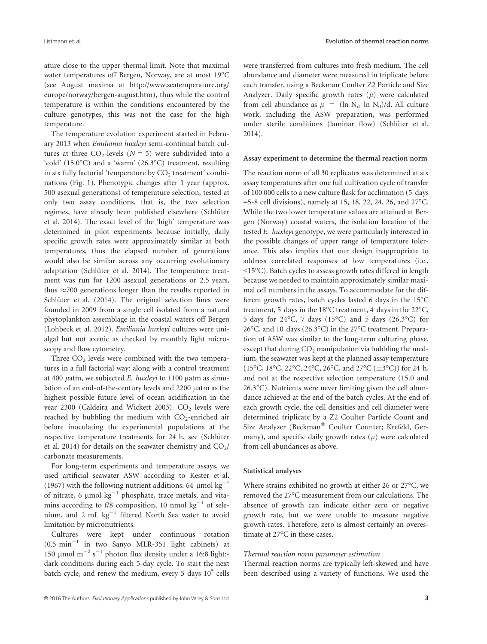ature close to the upper thermal limit. Note that maximal water temperatures off Bergen, Norway, are at most 19°C (see August maxima at [http://www.seatemperature.org/](http://www.seatemperature.org/europe/norway/bergen-august.htm) [europe/norway/bergen-august.htm\)](http://www.seatemperature.org/europe/norway/bergen-august.htm), thus while the control temperature is within the conditions encountered by the culture genotypes, this was not the case for the high temperature.

The temperature evolution experiment started in February 2013 when Emiliania huxleyi semi-continual batch cultures at three  $CO_2$ -levels ( $N = 5$ ) were subdivided into a 'cold' (15.0°C) and a 'warm' (26.3°C) treatment, resulting in six fully factorial 'temperature by  $CO<sub>2</sub>$  treatment' combinations (Fig. 1). Phenotypic changes after 1 year (approx. 500 asexual generations) of temperature selection, tested at only two assay conditions, that is, the two selection regimes, have already been published elsewhere (Schlüter et al. 2014). The exact level of the 'high' temperature was determined in pilot experiments because initially, daily specific growth rates were approximately similar at both temperatures, thus the elapsed number of generations would also be similar across any occurring evolutionary adaptation (Schlüter et al. 2014). The temperature treatment was run for 1200 asexual generations or 2.5 years, thus  $\approx$ 700 generations longer than the results reported in Schlüter et al.  $(2014)$ . The original selection lines were founded in 2009 from a single cell isolated from a natural phytoplankton assemblage in the coastal waters off Bergen (Lohbeck et al. 2012). Emiliania huxleyi cultures were unialgal but not axenic as checked by monthly light microscopy and flow cytometry.

Three  $CO<sub>2</sub>$  levels were combined with the two temperatures in a full factorial way: along with a control treatment at 400  $\mu$ atm, we subjected E. huxleyi to 1100  $\mu$ atm as simulation of an end-of-the-century levels and 2200 µatm as the highest possible future level of ocean acidification in the year 2300 (Caldeira and Wickett 2003).  $CO<sub>2</sub>$  levels were reached by bubbling the medium with  $CO_2$ -enriched air before inoculating the experimental populations at the respective temperature treatments for 24 h, see (Schlüter et al. 2014) for details on the seawater chemistry and  $CO<sub>2</sub>/$ carbonate measurements.

For long-term experiments and temperature assays, we used artificial seawater ASW according to Kester et al. (1967) with the following nutrient additions: 64  $\mu$ mol kg<sup>-1</sup> of nitrate, 6  $\mu$ mol kg<sup>-1</sup> phosphate, trace metals, and vitamins according to f/8 composition, 10 nmol  $kg^{-1}$  of selenium, and 2 mL  $kg^{-1}$  filtered North Sea water to avoid limitation by micronutrients.

Cultures were kept under continuous rotation  $(0.5 \text{ min}^{-1}$  in two Sanyo MLR-351 light cabinets) at 150 µmol  $m^{-2}$  s<sup>-1</sup> photon flux density under a 16:8 light:dark conditions during each 5-day cycle. To start the next batch cycle, and renew the medium, every 5 days  $10^5$  cells

were transferred from cultures into fresh medium. The cell abundance and diameter were measured in triplicate before each transfer, using a Beckman Coulter Z2 Particle and Size Analyzer. Daily specific growth rates  $(\mu)$  were calculated from cell abundance as  $\mu$  = (ln N<sub>d</sub>–ln N<sub>0</sub>)/d. All culture work, including the ASW preparation, was performed under sterile conditions (laminar flow) (Schlüter et al. 2014).

#### Assay experiment to determine the thermal reaction norm

The reaction norm of all 30 replicates was determined at six assay temperatures after one full cultivation cycle of transfer of 100 000 cells to a new culture flask for acclimation (5 days =5-8 cell divisions), namely at 15, 18, 22, 24, 26, and 27°C. While the two lower temperature values are attained at Bergen (Norway) coastal waters, the isolation location of the tested E. huxleyi genotype, we were particularly interested in the possible changes of upper range of temperature tolerance. This also implies that our design inappropriate to address correlated responses at low temperatures (i.e., <15°C). Batch cycles to assess growth rates differed in length because we needed to maintain approximately similar maximal cell numbers in the assays. To accommodate for the different growth rates, batch cycles lasted 6 days in the 15°C treatment, 5 days in the 18°C treatment, 4 days in the 22°C, 5 days for 24°C, 7 days (15°C) and 5 days (26.3°C) for 26°C, and 10 days (26.3°C) in the 27°C treatment. Preparation of ASW was similar to the long-term culturing phase, except that during  $CO<sub>2</sub>$  manipulation via bubbling the medium, the seawater was kept at the planned assay temperature (15°C, 18°C, 22°C, 24°C, 26°C, and 27°C ( $\pm$ 3°C)) for 24 h, and not at the respective selection temperature (15.0 and 26.3°C). Nutrients were never limiting given the cell abundance achieved at the end of the batch cycles. At the end of each growth cycle, the cell densities and cell diameter were determined triplicate by a Z2 Coulter Particle Count and Size Analyzer (Beckman<sup>®</sup> Coulter Counter; Krefeld, Germany), and specific daily growth rates  $(\mu)$  were calculated from cell abundances as above.

#### Statistical analyses

Where strains exhibited no growth at either 26 or 27°C, we removed the 27°C measurement from our calculations. The absence of growth can indicate either zero or negative growth rate, but we were unable to measure negative growth rates. Therefore, zero is almost certainly an overestimate at 27°C in these cases.

### Thermal reaction norm parameter estimation

Thermal reaction norms are typically left-skewed and have been described using a variety of functions. We used the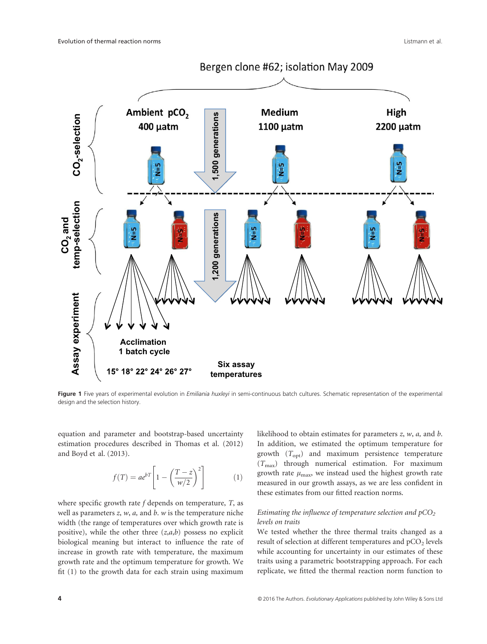

Figure 1 Five years of experimental evolution in Emiliania huxleyi in semi-continuous batch cultures. Schematic representation of the experimental design and the selection history.

equation and parameter and bootstrap-based uncertainty estimation procedures described in Thomas et al. (2012) and Boyd et al. (2013).

$$
f(T) = ae^{bT} \left[ 1 - \left( \frac{T - z}{w/2} \right)^2 \right] \tag{1}
$$

where specific growth rate  $f$  depends on temperature,  $T$ , as well as parameters  $z$ ,  $w$ ,  $a$ , and  $b$ .  $w$  is the temperature niche width (the range of temperatures over which growth rate is positive), while the other three  $(z, a, b)$  possess no explicit biological meaning but interact to influence the rate of increase in growth rate with temperature, the maximum growth rate and the optimum temperature for growth. We fit (1) to the growth data for each strain using maximum

likelihood to obtain estimates for parameters  $z$ ,  $w$ ,  $a$ , and  $b$ . In addition, we estimated the optimum temperature for growth  $(T_{\text{opt}})$  and maximum persistence temperature  $(T<sub>max</sub>)$  through numerical estimation. For maximum growth rate  $\mu_{\text{max}}$ , we instead used the highest growth rate measured in our growth assays, as we are less confident in these estimates from our fitted reaction norms.

## Estimating the influence of temperature selection and  $pCO<sub>2</sub>$ levels on traits

We tested whether the three thermal traits changed as a result of selection at different temperatures and  $pCO<sub>2</sub>$  levels while accounting for uncertainty in our estimates of these traits using a parametric bootstrapping approach. For each replicate, we fitted the thermal reaction norm function to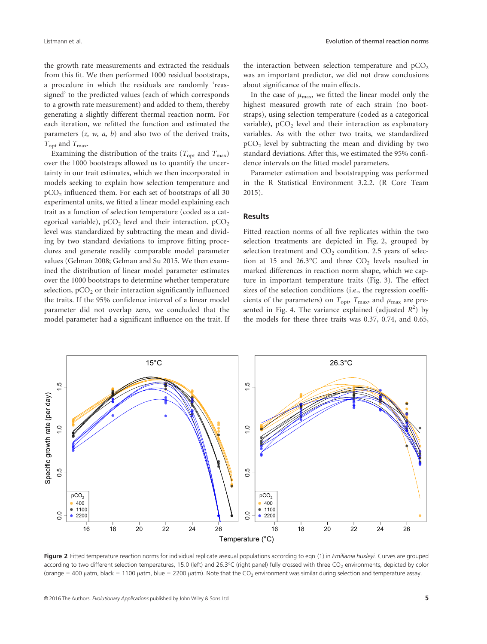the growth rate measurements and extracted the residuals from this fit. We then performed 1000 residual bootstraps, a procedure in which the residuals are randomly 'reassigned' to the predicted values (each of which corresponds to a growth rate measurement) and added to them, thereby generating a slightly different thermal reaction norm. For each iteration, we refitted the function and estimated the parameters  $(z, w, a, b)$  and also two of the derived traits,  $T_{\text{opt}}$  and  $T_{\text{max}}$ .

Examining the distribution of the traits ( $T_{\text{opt}}$  and  $T_{\text{max}}$ ) over the 1000 bootstraps allowed us to quantify the uncertainty in our trait estimates, which we then incorporated in models seeking to explain how selection temperature and  $pCO<sub>2</sub>$  influenced them. For each set of bootstraps of all 30 experimental units, we fitted a linear model explaining each trait as a function of selection temperature (coded as a categorical variable),  $pCO<sub>2</sub>$  level and their interaction.  $pCO<sub>2</sub>$ level was standardized by subtracting the mean and dividing by two standard deviations to improve fitting procedures and generate readily comparable model parameter values (Gelman 2008; Gelman and Su 2015. We then examined the distribution of linear model parameter estimates over the 1000 bootstraps to determine whether temperature selection,  $pCO<sub>2</sub>$  or their interaction significantly influenced the traits. If the 95% confidence interval of a linear model parameter did not overlap zero, we concluded that the model parameter had a significant influence on the trait. If the interaction between selection temperature and  $pCO<sub>2</sub>$ was an important predictor, we did not draw conclusions about significance of the main effects.

In the case of  $\mu_{\text{max}}$ , we fitted the linear model only the highest measured growth rate of each strain (no bootstraps), using selection temperature (coded as a categorical variable),  $pCO<sub>2</sub>$  level and their interaction as explanatory variables. As with the other two traits, we standardized  $pCO<sub>2</sub>$  level by subtracting the mean and dividing by two standard deviations. After this, we estimated the 95% confidence intervals on the fitted model parameters.

Parameter estimation and bootstrapping was performed in the R Statistical Environment 3.2.2. (R Core Team 2015).

#### Results

Fitted reaction norms of all five replicates within the two selection treatments are depicted in Fig. 2, grouped by selection treatment and  $CO<sub>2</sub>$  condition. 2.5 years of selection at 15 and 26.3°C and three  $CO<sub>2</sub>$  levels resulted in marked differences in reaction norm shape, which we capture in important temperature traits (Fig. 3). The effect sizes of the selection conditions (i.e., the regression coefficients of the parameters) on  $T_{\text{opt}}$ ,  $T_{\text{max}}$ , and  $\mu_{\text{max}}$  are presented in Fig. 4. The variance explained (adjusted  $R^2$ ) by the models for these three traits was 0.37, 0.74, and 0.65,



Figure 2 Fitted temperature reaction norms for individual replicate asexual populations according to egn (1) in Emiliania huxleyi. Curves are grouped according to two different selection temperatures, 15.0 (left) and 26.3°C (right panel) fully crossed with three CO<sub>2</sub> environments, depicted by color (orange = 400 µatm, black = 1100 µatm, blue = 2200 µatm). Note that the CO<sub>2</sub> environment was similar during selection and temperature assay.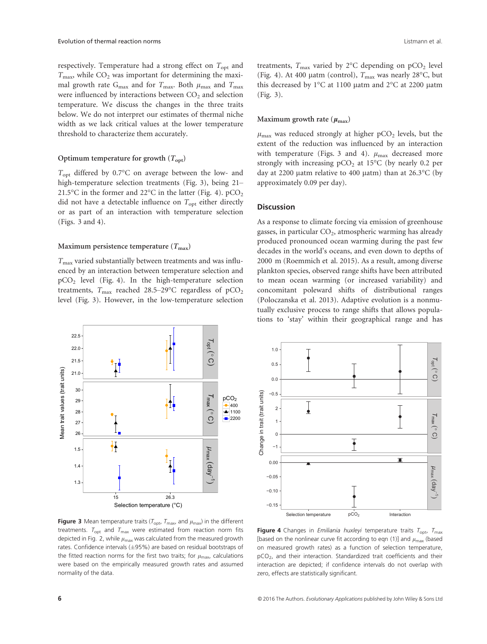respectively. Temperature had a strong effect on  $T_{\text{opt}}$  and  $T_{\text{max}}$ , while  $CO_2$  was important for determining the maximal growth rate G<sub>max</sub> and for  $T_{\text{max}}$ . Both  $\mu_{\text{max}}$  and  $T_{\text{max}}$ were influenced by interactions between  $CO<sub>2</sub>$  and selection temperature. We discuss the changes in the three traits below. We do not interpret our estimates of thermal niche width as we lack critical values at the lower temperature threshold to characterize them accurately.

#### Optimum temperature for growth  $(T_{\text{opt}})$

Topt differed by 0.7°C on average between the low- and high-temperature selection treatments (Fig. 3), being 21– 21.5°C in the former and 22°C in the latter (Fig. 4).  $pCO<sub>2</sub>$ did not have a detectable influence on  $T_{\text{opt}}$  either directly or as part of an interaction with temperature selection (Figs. 3 and 4).

#### Maximum persistence temperature  $(T_{\text{max}})$

 $T_{\text{max}}$  varied substantially between treatments and was influenced by an interaction between temperature selection and  $pCO<sub>2</sub>$  level (Fig. 4). In the high-temperature selection treatments,  $T_{\text{max}}$  reached 28.5–29°C regardless of pCO<sub>2</sub> level (Fig. 3). However, in the low-temperature selection

treatments,  $T_{\text{max}}$  varied by 2°C depending on pCO<sub>2</sub> level (Fig. 4). At 400 µatm (control),  $T_{\text{max}}$  was nearly 28°C, but this decreased by  $1^{\circ}$ C at 1100 µatm and  $2^{\circ}$ C at 2200 µatm (Fig. 3).

#### Maximum growth rate ( $\mu_{\text{max}}$ )

 $\mu_{\text{max}}$  was reduced strongly at higher pCO<sub>2</sub> levels, but the extent of the reduction was influenced by an interaction with temperature (Figs. 3 and 4).  $\mu_{\text{max}}$  decreased more strongly with increasing  $pCO<sub>2</sub>$  at 15°C (by nearly 0.2 per day at 2200 µatm relative to 400 µatm) than at 26.3 $^{\circ}$ C (by approximately 0.09 per day).

#### **Discussion**

As a response to climate forcing via emission of greenhouse gasses, in particular  $CO<sub>2</sub>$ , atmospheric warming has already produced pronounced ocean warming during the past few decades in the world's oceans, and even down to depths of 2000 m (Roemmich et al. 2015). As a result, among diverse plankton species, observed range shifts have been attributed to mean ocean warming (or increased variability) and concomitant poleward shifts of distributional ranges (Poloczanska et al. 2013). Adaptive evolution is a nonmutually exclusive process to range shifts that allows populations to 'stay' within their geographical range and has



**Figure 3** Mean temperature traits ( $T_{\text{opt}}$ ,  $T_{\text{max}}$ , and  $\mu_{\text{max}}$ ) in the different treatments.  $T_{\text{opt}}$  and  $T_{\text{max}}$  were estimated from reaction norm fits depicted in Fig. 2, while  $\mu_{\text{max}}$  was calculated from the measured growth rates. Confidence intervals  $(\pm 95\%)$  are based on residual bootstraps of the fitted reaction norms for the first two traits; for  $\mu_{\text{max}}$ , calculations were based on the empirically measured growth rates and assumed normality of the data.



Figure 4 Changes in *Emiliania huxleyi* temperature traits  $T_{\text{opt}}$ ,  $T_{\text{max}}$ [based on the nonlinear curve fit according to eqn (1)] and  $\mu_{\text{max}}$  (based on measured growth rates) as a function of selection temperature,  $pCO<sub>2</sub>$ , and their interaction. Standardized trait coefficients and their interaction are depicted; if confidence intervals do not overlap with zero, effects are statistically significant.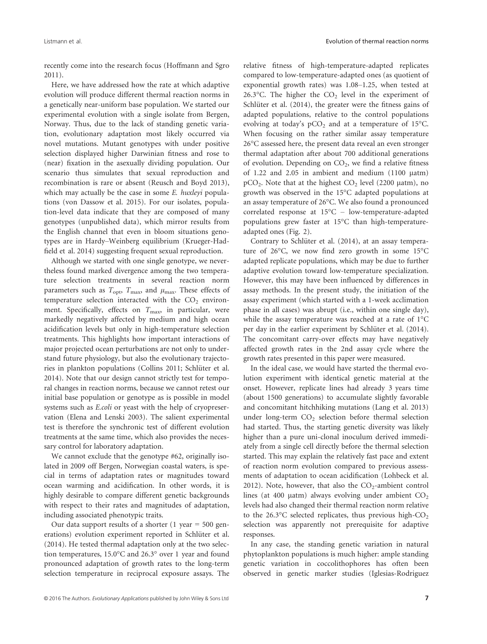recently come into the research focus (Hoffmann and Sgro 2011).

Here, we have addressed how the rate at which adaptive evolution will produce different thermal reaction norms in a genetically near-uniform base population. We started our experimental evolution with a single isolate from Bergen, Norway. Thus, due to the lack of standing genetic variation, evolutionary adaptation most likely occurred via novel mutations. Mutant genotypes with under positive selection displayed higher Darwinian fitness and rose to (near) fixation in the asexually dividing population. Our scenario thus simulates that sexual reproduction and recombination is rare or absent (Reusch and Boyd 2013), which may actually be the case in some E. huxleyi populations (von Dassow et al. 2015). For our isolates, population-level data indicate that they are composed of many genotypes (unpublished data), which mirror results from the English channel that even in bloom situations genotypes are in Hardy–Weinberg equilibrium (Krueger-Hadfield et al. 2014) suggesting frequent sexual reproduction.

Although we started with one single genotype, we nevertheless found marked divergence among the two temperature selection treatments in several reaction norm parameters such as  $T_{\text{opt}}$ ,  $T_{\text{max}}$ , and  $\mu_{\text{max}}$ . These effects of temperature selection interacted with the  $CO<sub>2</sub>$  environment. Specifically, effects on  $T_{\text{max}}$  in particular, were markedly negatively affected by medium and high ocean acidification levels but only in high-temperature selection treatments. This highlights how important interactions of major projected ocean perturbations are not only to understand future physiology, but also the evolutionary trajectories in plankton populations (Collins 2011; Schlüter et al. 2014). Note that our design cannot strictly test for temporal changes in reaction norms, because we cannot retest our initial base population or genotype as is possible in model systems such as E.coli or yeast with the help of cryopreservation (Elena and Lenski 2003). The salient experimental test is therefore the synchronic test of different evolution treatments at the same time, which also provides the necessary control for laboratory adaptation.

We cannot exclude that the genotype #62, originally isolated in 2009 off Bergen, Norwegian coastal waters, is special in terms of adaptation rates or magnitudes toward ocean warming and acidification. In other words, it is highly desirable to compare different genetic backgrounds with respect to their rates and magnitudes of adaptation, including associated phenotypic traits.

Our data support results of a shorter  $(1 \text{ year} = 500 \text{ gen}$ erations) evolution experiment reported in Schlüter et al. (2014). He tested thermal adaptation only at the two selection temperatures, 15.0°C and 26.3° over 1 year and found pronounced adaptation of growth rates to the long-term selection temperature in reciprocal exposure assays. The relative fitness of high-temperature-adapted replicates compared to low-temperature-adapted ones (as quotient of exponential growth rates) was 1.08–1.25, when tested at 26.3°C. The higher the  $CO<sub>2</sub>$  level in the experiment of Schlüter et al.  $(2014)$ , the greater were the fitness gains of adapted populations, relative to the control populations evolving at today's  $pCO<sub>2</sub>$  and at a temperature of 15°C. When focusing on the rather similar assay temperature 26°C assessed here, the present data reveal an even stronger thermal adaptation after about 700 additional generations of evolution. Depending on  $CO<sub>2</sub>$ , we find a relative fitness of  $1.22$  and  $2.05$  in ambient and medium  $(1100 \mu atm)$  $pCO<sub>2</sub>$ . Note that at the highest  $CO<sub>2</sub>$  level (2200 µatm), no growth was observed in the 15°C adapted populations at an assay temperature of 26°C. We also found a pronounced correlated response at 15°C – low-temperature-adapted populations grew faster at 15°C than high-temperatureadapted ones (Fig. 2).

Contrary to Schlüter et al. (2014), at an assay temperature of 26°C, we now find zero growth in some 15°C adapted replicate populations, which may be due to further adaptive evolution toward low-temperature specialization. However, this may have been influenced by differences in assay methods. In the present study, the initiation of the assay experiment (which started with a 1-week acclimation phase in all cases) was abrupt (i.e., within one single day), while the assay temperature was reached at a rate of 1°C per day in the earlier experiment by Schlüter et al. (2014). The concomitant carry-over effects may have negatively affected growth rates in the 2nd assay cycle where the growth rates presented in this paper were measured.

In the ideal case, we would have started the thermal evolution experiment with identical genetic material at the onset. However, replicate lines had already 3 years time (about 1500 generations) to accumulate slightly favorable and concomitant hitchhiking mutations (Lang et al. 2013) under long-term  $CO<sub>2</sub>$  selection before thermal selection had started. Thus, the starting genetic diversity was likely higher than a pure uni-clonal inoculum derived immediately from a single cell directly before the thermal selection started. This may explain the relatively fast pace and extent of reaction norm evolution compared to previous assessments of adaptation to ocean acidification (Lohbeck et al. 2012). Note, however, that also the  $CO_2$ -ambient control lines (at 400  $\mu$ atm) always evolving under ambient  $CO<sub>2</sub>$ levels had also changed their thermal reaction norm relative to the 26.3 $\degree$ C selected replicates, thus previous high-CO<sub>2</sub> selection was apparently not prerequisite for adaptive responses.

In any case, the standing genetic variation in natural phytoplankton populations is much higher: ample standing genetic variation in coccolithophores has often been observed in genetic marker studies (Iglesias-Rodriguez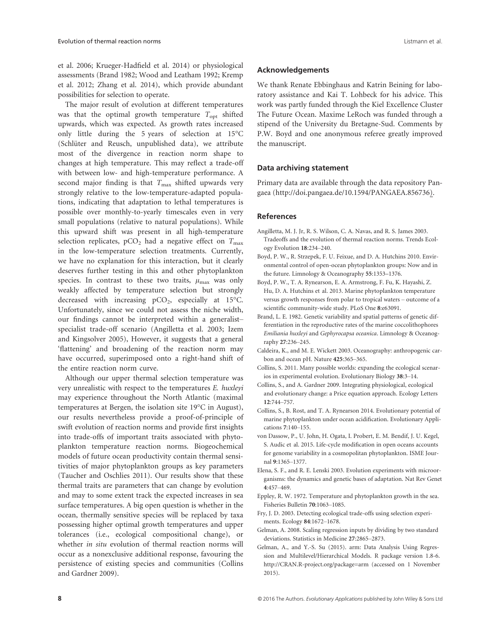et al. 2006; Krueger-Hadfield et al. 2014) or physiological assessments (Brand 1982; Wood and Leatham 1992; Kremp et al. 2012; Zhang et al. 2014), which provide abundant possibilities for selection to operate.

The major result of evolution at different temperatures was that the optimal growth temperature  $T_{\text{opt}}$  shifted upwards, which was expected. As growth rates increased only little during the 5 years of selection at 15°C (Schlüter and Reusch, unpublished data), we attribute most of the divergence in reaction norm shape to changes at high temperature. This may reflect a trade-off with between low- and high-temperature performance. A second major finding is that  $T_{\text{max}}$  shifted upwards very strongly relative to the low-temperature-adapted populations, indicating that adaptation to lethal temperatures is possible over monthly-to-yearly timescales even in very small populations (relative to natural populations). While this upward shift was present in all high-temperature selection replicates,  $pCO<sub>2</sub>$  had a negative effect on  $T<sub>max</sub>$ in the low-temperature selection treatments. Currently, we have no explanation for this interaction, but it clearly deserves further testing in this and other phytoplankton species. In contrast to these two traits,  $\mu_{\text{max}}$  was only weakly affected by temperature selection but strongly decreased with increasing  $pCO<sub>2</sub>$ , especially at 15°C. Unfortunately, since we could not assess the niche width, our findings cannot be interpreted within a generalist– specialist trade-off scenario (Angilletta et al. 2003; Izem and Kingsolver 2005), However, it suggests that a general 'flattening' and broadening of the reaction norm may have occurred, superimposed onto a right-hand shift of the entire reaction norm curve.

Although our upper thermal selection temperature was very unrealistic with respect to the temperatures E. huxleyi may experience throughout the North Atlantic (maximal temperatures at Bergen, the isolation site 19°C in August), our results nevertheless provide a proof-of-principle of swift evolution of reaction norms and provide first insights into trade-offs of important traits associated with phytoplankton temperature reaction norms. Biogeochemical models of future ocean productivity contain thermal sensitivities of major phytoplankton groups as key parameters (Taucher and Oschlies 2011). Our results show that these thermal traits are parameters that can change by evolution and may to some extent track the expected increases in sea surface temperatures. A big open question is whether in the ocean, thermally sensitive species will be replaced by taxa possessing higher optimal growth temperatures and upper tolerances (i.e., ecological compositional change), or whether in situ evolution of thermal reaction norms will occur as a nonexclusive additional response, favouring the persistence of existing species and communities (Collins and Gardner 2009).

#### Acknowledgements

We thank Renate Ebbinghaus and Katrin Beining for laboratory assistance and Kai T. Lohbeck for his advice. This work was partly funded through the Kiel Excellence Cluster The Future Ocean. Maxime LeRoch was funded through a stipend of the University du Bretagne-Sud. Comments by P.W. Boyd and one anonymous referee greatly improved the manuscript.

# Data archiving statement

Primary data are available through the data repository Pangaea [\(http://doi.pangaea.de/10.1594/PANGAEA.856736\)](http://doi.pangaea.de/10.1594/PANGAEA.856736).

## References

- Angilletta, M. J. Jr, R. S. Wilson, C. A. Navas, and R. S. James 2003. Tradeoffs and the evolution of thermal reaction norms. Trends Ecology Evolution 18:234–240.
- Boyd, P. W., R. Strzepek, F. U. Feixue, and D. A. Hutchins 2010. Environmental control of open-ocean phytoplankton groups: Now and in the future. Limnology & Oceanography 55:1353–1376.
- Boyd, P. W., T. A. Rynearson, E. A. Armstrong, F. Fu, K. Hayashi, Z. Hu, D. A. Hutchins et al. 2013. Marine phytoplankton temperature versus growth responses from polar to tropical waters – outcome of a scientific community-wide study. PLoS One 8:e63091.
- Brand, L. E. 1982. Genetic variability and spatial patterns of genetic differentiation in the reproductive rates of the marine coccolithophores Emiliania huxleyi and Gephyrocapsa oceanica. Limnology & Oceanography 27:236–245.
- Caldeira, K., and M. E. Wickett 2003. Oceanography: anthropogenic carbon and ocean pH. Nature 425:365–365.
- Collins, S. 2011. Many possible worlds: expanding the ecological scenarios in experimental evolution. Evolutionary Biology 38:3–14.
- Collins, S., and A. Gardner 2009. Integrating physiological, ecological and evolutionary change: a Price equation approach. Ecology Letters 12:744–757.
- Collins, S., B. Rost, and T. A. Rynearson 2014. Evolutionary potential of marine phytoplankton under ocean acidification. Evolutionary Applications 7:140–155.
- von Dassow, P., U. John, H. Ogata, I. Probert, E. M. Bendif, J. U. Kegel, S. Audic et al. 2015. Life-cycle modification in open oceans accounts for genome variability in a cosmopolitan phytoplankton. ISME Journal 9:1365–1377.
- Elena, S. F., and R. E. Lenski 2003. Evolution experiments with microorganisms: the dynamics and genetic bases of adaptation. Nat Rev Genet 4:457–469.
- Eppley, R. W. 1972. Temperature and phytoplankton growth in the sea. Fisheries Bulletin 70:1063–1085.
- Fry, J. D. 2003. Detecting ecological trade-offs using selection experiments. Ecology 84:1672–1678.
- Gelman, A. 2008. Scaling regression inputs by dividing by two standard deviations. Statistics in Medicine 27:2865–2873.
- Gelman, A., and Y.-S. Su (2015). arm: Data Analysis Using Regression and Multilevel/Hierarchical Models. R package version 1.8-6. <http://CRAN.R-project.org/package=arm> (accessed on 1 November 2015).